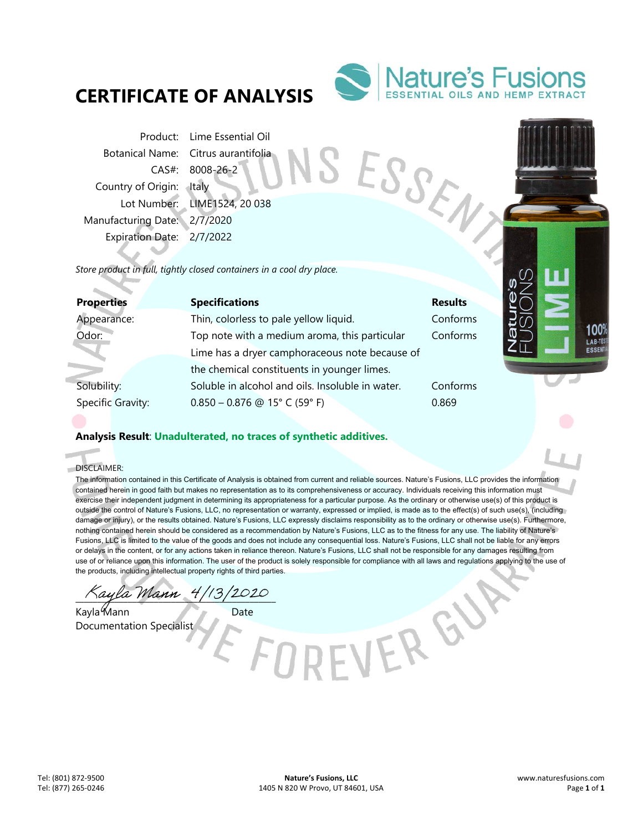# **CERTIFICATE OF ANALYSIS**



SESSEN

Product: Lime Essential Oil Botanical Name: Citrus aurantifolia CAS#: 8008-26-2 Country of Origin: Italy Lot Number: LIME1524, 20 038 Manufacturing Date: 2/7/2020 Expiration Date: 2/7/2022

*Store product in full, tightly closed containers in a cool dry place.* 

| <b>Properties</b> |                   | <b>Specifications</b>                            | <b>Results</b> |
|-------------------|-------------------|--------------------------------------------------|----------------|
| Appearance:       |                   | Thin, colorless to pale yellow liquid.           | Conforms       |
| Odor:             |                   | Top note with a medium aroma, this particular    | Conforms       |
|                   |                   | Lime has a dryer camphoraceous note because of   |                |
|                   |                   | the chemical constituents in younger limes.      |                |
| Solubility:       |                   | Soluble in alcohol and oils. Insoluble in water. | Conforms       |
|                   | Specific Gravity: | $0.850 - 0.876$ @ 15° C (59° F)                  | 0.869          |
|                   |                   |                                                  |                |

## **Analysis Result**: **Unadulterated, no traces of synthetic additives.**

DISCLAIMER:

d.

The information contained in this Certificate of Analysis is obtained from current and reliable sources. Nature's Fusions, LLC provides the information contained herein in good faith but makes no representation as to its comprehensiveness or accuracy. Individuals receiving this information must exercise their independent judgment in determining its appropriateness for a particular purpose. As the ordinary or otherwise use(s) of this product is outside the control of Nature's Fusions, LLC, no representation or warranty, expressed or implied, is made as to the effect(s) of such use(s), (including damage or injury), or the results obtained. Nature's Fusions, LLC expressly disclaims responsibility as to the ordinary or otherwise use(s). Furthermore, nothing contained herein should be considered as a recommendation by Nature's Fusions, LLC as to the fitness for any use. The liability of Nature's Fusions, LLC is limited to the value of the goods and does not include any consequential loss. Nature's Fusions, LLC shall not be liable for any errors or delays in the content, or for any actions taken in reliance thereon. Nature's Fusions, LLC shall not be responsible for any damages resulting from use of or reliance upon this information. The user of the product is solely responsible for compliance with all laws and regulations applying to the use of the products, including intellectual property rights of third parties.

ayla Mann 4/13/2020

Kayla Mann Date Documentation Specialist

VER GY

100 LAB-TE ESSE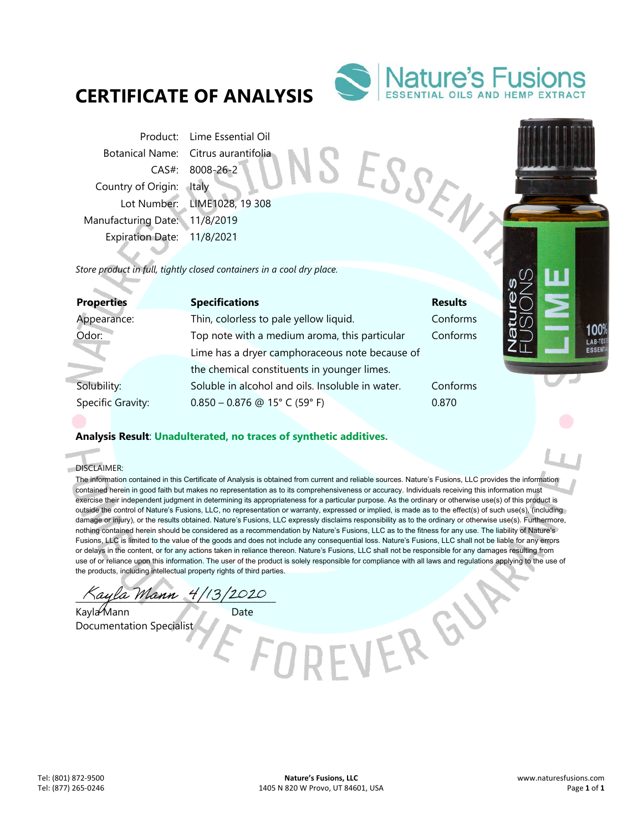# **CERTIFICATE OF ANALYSIS**



SESSEN

Product: Lime Essential Oil Botanical Name: Citrus aurantifolia CAS#: 8008-26-2 Country of Origin: Italy Lot Number: LIME1028, 19 308 Manufacturing Date: 11/8/2019 Expiration Date: 11/8/2021

*Store product in full, tightly closed containers in a cool dry place.* 

| <b>Properties</b> | <b>Specifications</b>                            | <b>Results</b> |
|-------------------|--------------------------------------------------|----------------|
| Appearance:       | Thin, colorless to pale yellow liquid.           | Conforms       |
| Odor:             | Top note with a medium aroma, this particular    | Conforms       |
|                   | Lime has a dryer camphoraceous note because of   |                |
|                   | the chemical constituents in younger limes.      |                |
| Solubility:       | Soluble in alcohol and oils. Insoluble in water. | Conforms       |
| Specific Gravity: | $0.850 - 0.876$ @ 15° C (59° F)                  | 0.870          |

## **Analysis Result**: **Unadulterated, no traces of synthetic additives.**

DISCLAIMER:

i.

The information contained in this Certificate of Analysis is obtained from current and reliable sources. Nature's Fusions, LLC provides the information contained herein in good faith but makes no representation as to its comprehensiveness or accuracy. Individuals receiving this information must exercise their independent judgment in determining its appropriateness for a particular purpose. As the ordinary or otherwise use(s) of this product is outside the control of Nature's Fusions, LLC, no representation or warranty, expressed or implied, is made as to the effect(s) of such use(s), (including damage or injury), or the results obtained. Nature's Fusions, LLC expressly disclaims responsibility as to the ordinary or otherwise use(s). Furthermore, nothing contained herein should be considered as a recommendation by Nature's Fusions, LLC as to the fitness for any use. The liability of Nature's Fusions, LLC is limited to the value of the goods and does not include any consequential loss. Nature's Fusions, LLC shall not be liable for any errors or delays in the content, or for any actions taken in reliance thereon. Nature's Fusions, LLC shall not be responsible for any damages resulting from use of or reliance upon this information. The user of the product is solely responsible for compliance with all laws and regulations applying to the use of the products, including intellectual property rights of third parties.

ayla Mann 4/13/2020

Kayla Mann Date Documentation Specialist

VER GY

100 LAB-TE ESSE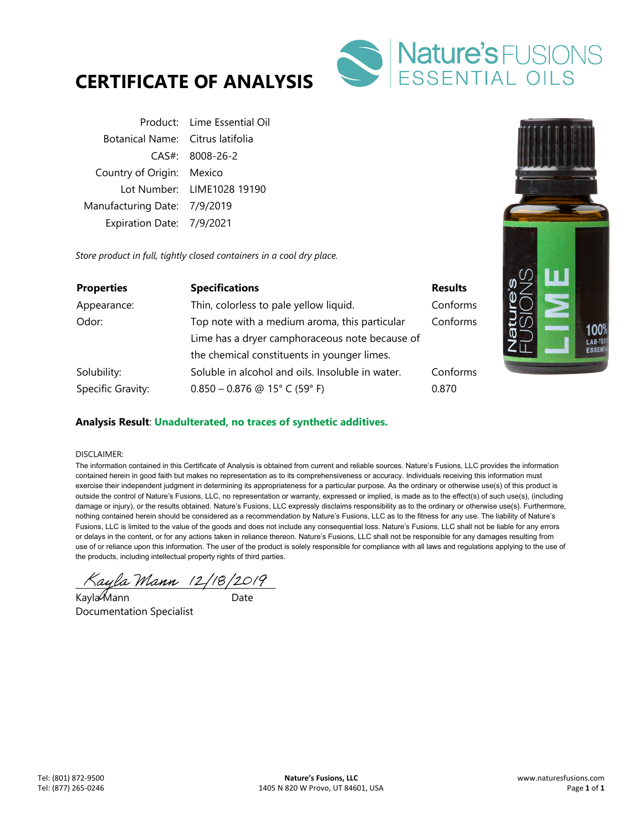



|                                  | Product: Lime Essential Oil |
|----------------------------------|-----------------------------|
| Botanical Name: Citrus latifolia |                             |
|                                  | $CAS#$ : 8008-26-2          |
| Country of Origin: Mexico        |                             |
|                                  | Lot Number: LIME1028 19190  |
| Manufacturing Date: 7/9/2019     |                             |
| Expiration Date: 7/9/2021        |                             |

*Store product in full, tightly closed containers in a cool dry place.* 

| <b>Properties</b> | <b>Specifications</b>                            | <b>Results</b> |
|-------------------|--------------------------------------------------|----------------|
| Appearance:       | Thin, colorless to pale yellow liquid.           | Conforms       |
| Odor:             | Top note with a medium aroma, this particular    | Conforms       |
|                   | Lime has a dryer camphoraceous note because of   |                |
|                   | the chemical constituents in younger limes.      |                |
| Solubility:       | Soluble in alcohol and oils. Insoluble in water. | Conforms       |
| Specific Gravity: | $0.850 - 0.876$ @ 15° C (59° F)                  | 0.870          |



### **Analysis Result**: **Unadulterated, no traces of synthetic additives.**

#### DISCLAIMER:

The information contained in this Certificate of Analysis is obtained from current and reliable sources. Nature's Fusions, LLC provides the information contained herein in good faith but makes no representation as to its comprehensiveness or accuracy. Individuals receiving this information must exercise their independent judgment in determining its appropriateness for a particular purpose. As the ordinary or otherwise use(s) of this product is outside the control of Nature's Fusions, LLC, no representation or warranty, expressed or implied, is made as to the effect(s) of such use(s), (including damage or injury), or the results obtained. Nature's Fusions, LLC expressly disclaims responsibility as to the ordinary or otherwise use(s). Furthermore, nothing contained herein should be considered as a recommendation by Nature's Fusions, LLC as to the fitness for any use. The liability of Nature's Fusions, LLC is limited to the value of the goods and does not include any consequential loss. Nature's Fusions, LLC shall not be liable for any errors or delays in the content, or for any actions taken in reliance thereon. Nature's Fusions, LLC shall not be responsible for any damages resulting from use of or reliance upon this information. The user of the product is solely responsible for compliance with all laws and regulations applying to the use of the products, including intellectual property rights of third parties.

 $\bigcap 4y$ la Mann (2/18/2019)

Kayla Mann ann an Date Documentation Specialist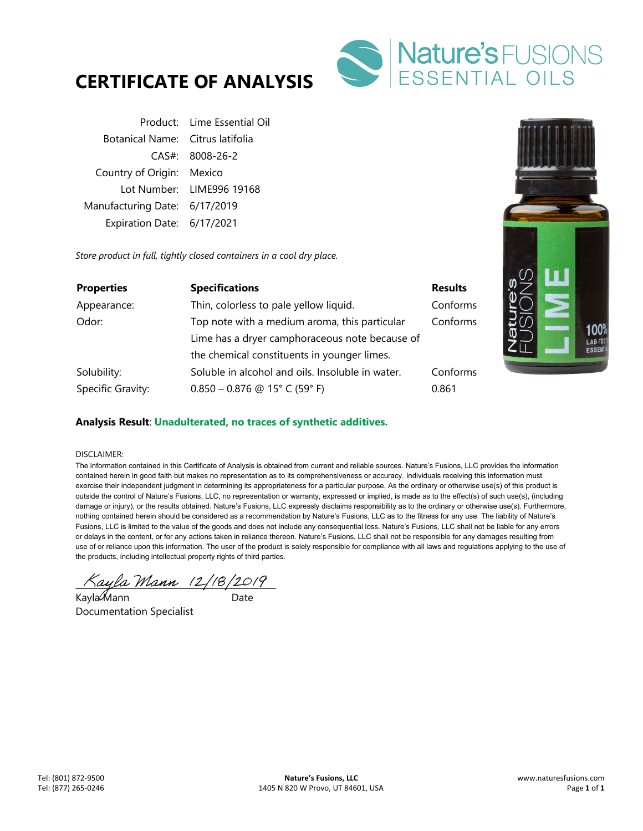



|                                  | Product: Lime Essential Oil |
|----------------------------------|-----------------------------|
| Botanical Name: Citrus latifolia |                             |
|                                  | $CAS#$ : 8008-26-2          |
| Country of Origin: Mexico        |                             |
|                                  | Lot Number: LIME996 19168   |
| Manufacturing Date: 6/17/2019    |                             |
| Expiration Date: 6/17/2021       |                             |

*Store product in full, tightly closed containers in a cool dry place.* 

| <b>Properties</b> | <b>Specifications</b>                            | <b>Results</b> |
|-------------------|--------------------------------------------------|----------------|
| Appearance:       | Thin, colorless to pale yellow liquid.           | Conforms       |
| Odor:             | Top note with a medium aroma, this particular    | Conforms       |
|                   | Lime has a dryer camphoraceous note because of   |                |
|                   | the chemical constituents in younger limes.      |                |
| Solubility:       | Soluble in alcohol and oils. Insoluble in water. | Conforms       |
| Specific Gravity: | $0.850 - 0.876$ @ 15° C (59° F)                  | 0.861          |



### **Analysis Result**: **Unadulterated, no traces of synthetic additives.**

#### DISCLAIMER:

The information contained in this Certificate of Analysis is obtained from current and reliable sources. Nature's Fusions, LLC provides the information contained herein in good faith but makes no representation as to its comprehensiveness or accuracy. Individuals receiving this information must exercise their independent judgment in determining its appropriateness for a particular purpose. As the ordinary or otherwise use(s) of this product is outside the control of Nature's Fusions, LLC, no representation or warranty, expressed or implied, is made as to the effect(s) of such use(s), (including damage or injury), or the results obtained. Nature's Fusions, LLC expressly disclaims responsibility as to the ordinary or otherwise use(s). Furthermore, nothing contained herein should be considered as a recommendation by Nature's Fusions, LLC as to the fitness for any use. The liability of Nature's Fusions, LLC is limited to the value of the goods and does not include any consequential loss. Nature's Fusions, LLC shall not be liable for any errors or delays in the content, or for any actions taken in reliance thereon. Nature's Fusions, LLC shall not be responsible for any damages resulting from use of or reliance upon this information. The user of the product is solely responsible for compliance with all laws and regulations applying to the use of the products, including intellectual property rights of third parties.

 $\pi_{\text{a}q}$ la Mann (2/18/2019)

Kayla Mann ann an Date Documentation Specialist